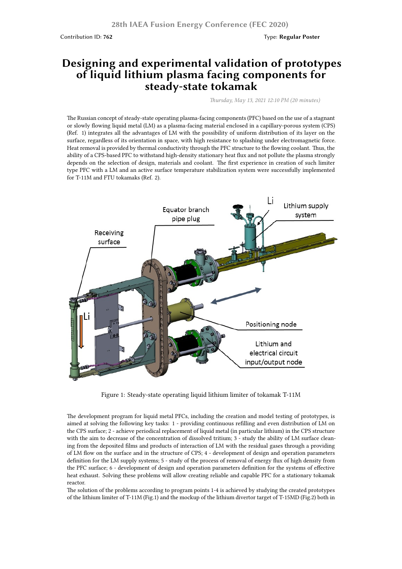## **Designing and experimental validation of prototypes of liquid lithium plasma facing components for steady-state tokamak**

*Thursday, May 13, 2021 12:10 PM (20 minutes)*

The Russian concept of steady-state operating plasma-facing components (PFC) based on the use of a stagnant or slowly flowing liquid metal (LM) as a plasma-facing material enclosed in a capillary-porous system (CPS) (Ref. 1) integrates all the advantages of LM with the possibility of uniform distribution of its layer on the surface, regardless of its orientation in space, with high resistance to splashing under electromagnetic force. Heat removal is provided by thermal conductivity through the PFC structure to the flowing coolant. Thus, the ability of a CPS-based PFC to withstand high-density stationary heat flux and not pollute the plasma strongly depends on the selection of design, materials and coolant. The first experience in creation of such limiter type PFC with a LM and an active surface temperature stabilization system were successfully implemented for T-11M and FTU tokamaks (Ref. 2).



Figure 1: Steady-state operating liquid lithium limiter of tokamak T-11M

The development program for liquid metal PFCs, including the creation and model testing of prototypes, is aimed at solving the following key tasks: 1 - providing continuous refilling and even distribution of LM on the CPS surface; 2 - achieve periodical replacement of liquid metal (in particular lithium) in the CPS structure with the aim to decrease of the concentration of dissolved tritium; 3 - study the ability of LM surface cleaning from the deposited films and products of interaction of LM with the residual gases through a providing of LM flow on the surface and in the structure of CPS; 4 - development of design and operation parameters definition for the LM supply systems; 5 - study of the process of removal of energy flux of high density from the PFC surface; 6 - development of design and operation parameters definition for the systems of effective heat exhaust. Solving these problems will allow creating reliable and capable PFC for a stationary tokamak reactor.

The solution of the problems according to program points 1-4 is achieved by studying the created prototypes of the lithium limiter of T-11M (Fig.1) and the mockup of the lithium divertor target of T-15MD (Fig.2) both in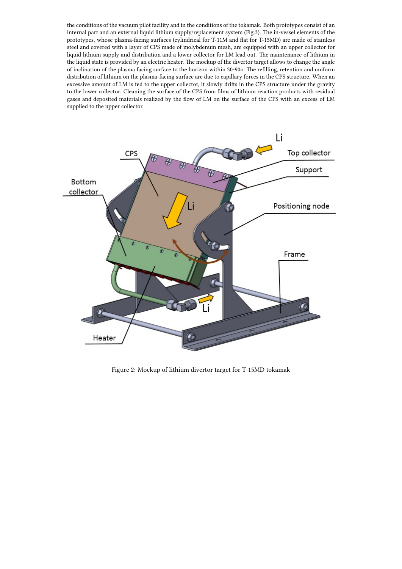the conditions of the vacuum pilot facility and in the conditions of the tokamak. Both prototypes consist of an internal part and an external liquid lithium supply/replacement system (Fig.3). The in-vessel elements of the prototypes, whose plasma-facing surfaces (cylindrical for T-11M and flat for T-15MD) are made of stainless steel and covered with a layer of CPS made of molybdenum mesh, are equipped with an upper collector for liquid lithium supply and distribution and a lower collector for LM lead out. The maintenance of lithium in the liquid state is provided by an electric heater. The mockup of the divertor target allows to change the angle of inclination of the plasma facing surface to the horizon within 30-90o. The refilling, retention and uniform distribution of lithium on the plasma-facing surface are due to capillary forces in the CPS structure. When an excessive amount of LM is fed to the upper collector, it slowly drifts in the CPS structure under the gravity to the lower collector. Cleaning the surface of the CPS from films of lithium reaction products with residual gases and deposited materials realized by the flow of LM on the surface of the CPS with an excess of LM supplied to the upper collector.



Figure 2: Mockup of lithium divertor target for T-15MD tokamak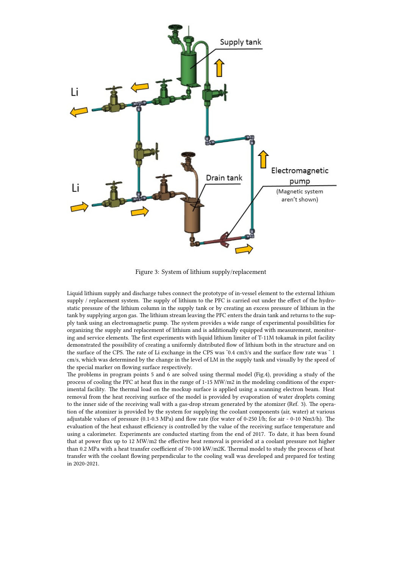

Figure 3: System of lithium supply/replacement

Liquid lithium supply and discharge tubes connect the prototype of in-vessel element to the external lithium supply / replacement system. The supply of lithium to the PFC is carried out under the effect of the hydrostatic pressure of the lithium column in the supply tank or by creating an excess pressure of lithium in the tank by supplying argon gas. The lithium stream leaving the PFC enters the drain tank and returns to the supply tank using an electromagnetic pump. The system provides a wide range of experimental possibilities for organizing the supply and replacement of lithium and is additionally equipped with measurement, monitoring and service elements. The first experiments with liquid lithium limiter of T-11M tokamak in pilot facility demonstrated the possibility of creating a uniformly distributed flow of lithium both in the structure and on the surface of the CPS. The rate of Li exchange in the CPS was ˜0.4 cm3/s and the surface flow rate was ˜ 1 cm/s, which was determined by the change in the level of LM in the supply tank and visually by the speed of the special marker on flowing surface respectively.

The problems in program points 5 and 6 are solved using thermal model (Fig.4), providing a study of the process of cooling the PFC at heat flux in the range of 1-15 MW/m2 in the modeling conditions of the experimental facility. The thermal load on the mockup surface is applied using a scanning electron beam. Heat removal from the heat receiving surface of the model is provided by evaporation of water droplets coming to the inner side of the receiving wall with a gas-drop stream generated by the atomizer (Ref. 3). The operation of the atomizer is provided by the system for supplying the coolant components (air, water) at various adjustable values of pressure (0.1-0.3 MPa) and flow rate (for water of 0-250 l/h; for air - 0-10 Nm3/h). The evaluation of the heat exhaust efficiency is controlled by the value of the receiving surface temperature and using a calorimeter. Experiments are conducted starting from the end of 2017. To date, it has been found that at power flux up to 12 MW/m2 the effective heat removal is provided at a coolant pressure not higher than 0.2 MPa with a heat transfer coefficient of 70-100 kW/m2K. Thermal model to study the process of heat transfer with the coolant flowing perpendicular to the cooling wall was developed and prepared for testing in 2020-2021.